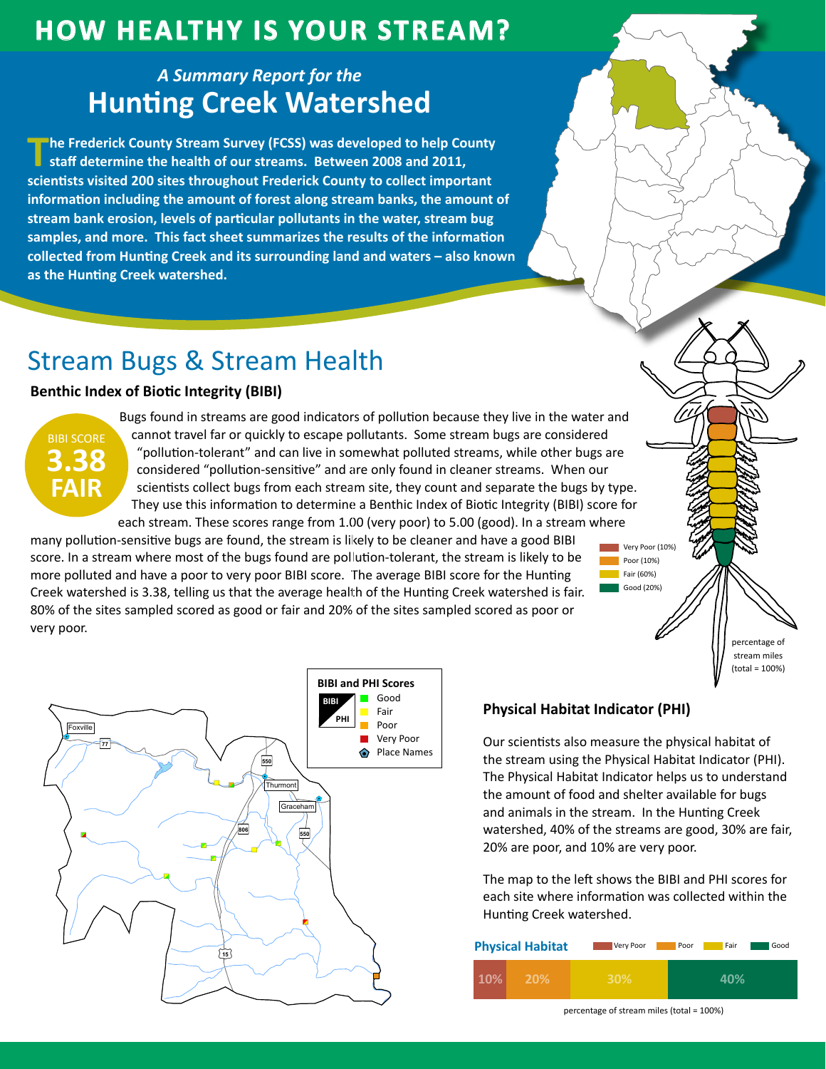# **How HealtHy is Your Stream?**

## *A Summary Report for the* **Hunting Creek Watershed**

**The Frederick County Stream Survey (FCSS) was developed to help County staff determine the health of our streams. Between 2008 and 2011, scientists visited 200 sites throughout Frederick County to collect important information including the amount of forest along stream banks, the amount of stream bank erosion, levels of particular pollutants in the water, stream bug samples, and more. This fact sheet summarizes the results of the information collected from Hunting Creek and its surrounding land and waters – also known as the Hunting Creek watershed.**

# Stream Bugs & Stream Health

### **Benthic Index of Biotic Integrity (BIBI)**



Bugs found in streams are good indicators of pollution because they live in the water and cannot travel far or quickly to escape pollutants. Some stream bugs are considered "pollution-tolerant" and can live in somewhat polluted streams, while other bugs are considered "pollution-sensitive" and are only found in cleaner streams. When our scientists collect bugs from each stream site, they count and separate the bugs by type. They use this information to determine a Benthic Index of Biotic Integrity (BIBI) score for each stream. These scores range from 1.00 (very poor) to 5.00 (good). In a stream where

many pollution-sensitive bugs are found, the stream is likely to be cleaner and have a good BIBI score. In a stream where most of the bugs found are pollution-tolerant, the stream is likely to be more polluted and have a poor to very poor BIBI score. The average BIBI score for the Hunting Creek watershed is 3.38, telling us that the average health of the Hunting Creek watershed is fair. 80% of the sites sampled scored as good or fair and 20% of the sites sampled scored as poor or very poor.

"





### **Physical Habitat Indicator (PHI)**

Our scientists also measure the physical habitat of the stream using the Physical Habitat Indicator (PHI). The Physical Habitat Indicator helps us to understand the amount of food and shelter available for bugs and animals in the stream. In the Hunting Creek watershed, 40% of the streams are good, 30% are fair, 20% are poor, and 10% are very poor.

Poor (10%) Fair (60%) Good (20%)

The map to the left shows the BIBI and PHI scores for each site where information was collected within the Hunting Creek watershed.

| <b>Physical Habitat</b> | Very Poor | Good<br>Fair<br>Poor |
|-------------------------|-----------|----------------------|
| 10%<br><b>20%</b>       | 30%       | 40%                  |

percentage of stream miles (total = 100%)